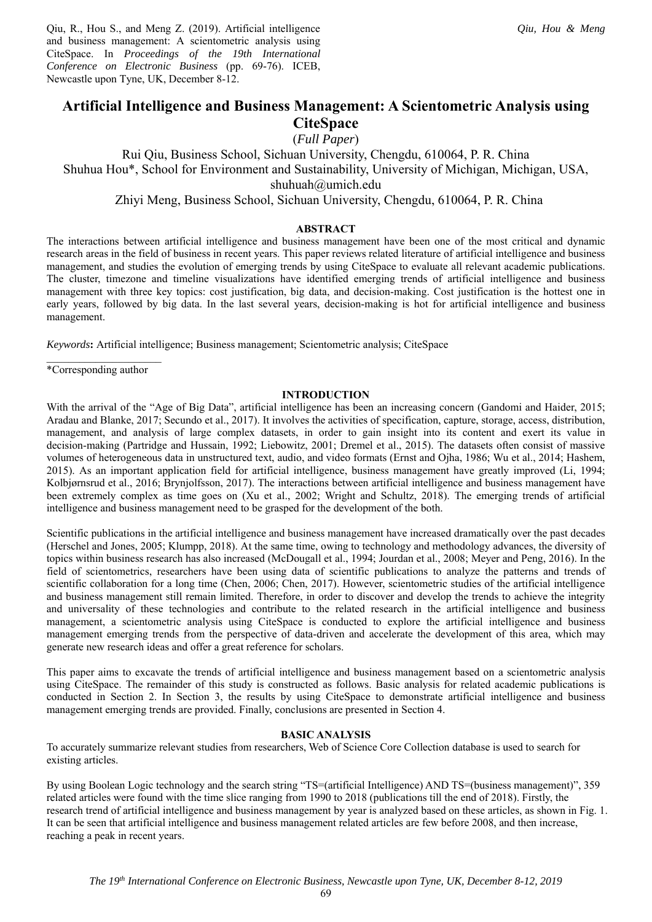Qiu, R., Hou S., and Meng Z. (2019). Artificial intelligence and business management: A scientometric analysis using CiteSpace. In *Proceedings of the 19th International Conference on Electronic Business* (pp. 69-76). ICEB, Newcastle upon Tyne, UK, December 8-12.

(*Full Paper*)

Rui Qiu, Business School, Sichuan University, Chengdu, 610064, P. R. China Shuhua Hou\*, School for Environment and Sustainability, University of Michigan, Michigan, USA, shuhuah@umich.edu

Zhiyi Meng, Business School, Sichuan University, Chengdu, 610064, P. R. China

# **ABSTRACT**

The interactions between artificial intelligence and business management have been one of the most critical and dynamic research areas in the field of business in recent years. This paper reviews related literature of artificial intelligence and business management, and studies the evolution of emerging trends by using CiteSpace to evaluate all relevant academic publications. The cluster, timezone and timeline visualizations have identified emerging trends of artificial intelligence and business management with three key topics: cost justification, big data, and decision-making. Cost justification is the hottest one in early years, followed by big data. In the last several years, decision-making is hot for artificial intelligence and business management.

*Keywords***:** Artificial intelligence; Business management; Scientometric analysis; CiteSpace

 $\overline{\phantom{a}}$  , where  $\overline{\phantom{a}}$ \*Corresponding author

### **INTRODUCTION**

With the arrival of the "Age of Big Data", artificial intelligence has been an increasing concern (Gandomi and Haider, 2015; Aradau and Blanke, 2017; Secundo et al., 2017). It involves the activities of specification, capture, storage, access, distribution, management, and analysis of large complex datasets, in order to gain insight into its content and exert its value in decision-making (Partridge and Hussain, 1992; Liebowitz, 2001; Dremel et al., 2015). The datasets often consist of massive volumes of heterogeneous data in unstructured text, audio, and video formats (Ernst and Ojha, 1986; Wu et al., 2014; Hashem, 2015). As an important application field for artificial intelligence, business management have greatly improved (Li, 1994; Kolbjørnsrud et al., 2016; Brynjolfsson, 2017). The interactions between artificial intelligence and business management have been extremely complex as time goes on (Xu et al., 2002; Wright and Schultz, 2018). The emerging trends of artificial intelligence and business management need to be grasped for the development of the both.

Scientific publications in the artificial intelligence and business management have increased dramatically over the past decades (Herschel and Jones, 2005; Klumpp, 2018). At the same time, owing to technology and methodology advances, the diversity of topics within business research has also increased (McDougall et al., 1994; Jourdan et al., 2008; Meyer and Peng, 2016). In the field of scientometrics, researchers have been using data of scientific publications to analyze the patterns and trends of scientific collaboration for a long time (Chen, 2006; Chen, 2017). However, scientometric studies of the artificial intelligence and business management still remain limited. Therefore, in order to discover and develop the trends to achieve the integrity and universality of these technologies and contribute to the related research in the artificial intelligence and business management, a scientometric analysis using CiteSpace is conducted to explore the artificial intelligence and business management emerging trends from the perspective of data-driven and accelerate the development of this area, which may generate new research ideas and offer a great reference for scholars.

This paper aims to excavate the trends of artificial intelligence and business management based on a scientometric analysis using CiteSpace. The remainder of this study is constructed as follows. Basic analysis for related academic publications is conducted in Section 2. In Section 3, the results by using CiteSpace to demonstrate artificial intelligence and business management emerging trends are provided. Finally, conclusions are presented in Section 4.

# **BASIC ANALYSIS**

To accurately summarize relevant studies from researchers, Web of Science Core Collection database is used to search for existing articles.

By using Boolean Logic technology and the search string "TS=(artificial Intelligence) AND TS=(business management)", 359 related articles were found with the time slice ranging from 1990 to 2018 (publications till the end of 2018). Firstly, the research trend of artificial intelligence and business management by year is analyzed based on these articles, as shown in Fig. 1. It can be seen that artificial intelligence and business management related articles are few before 2008, and then increase, reaching a peak in recent years.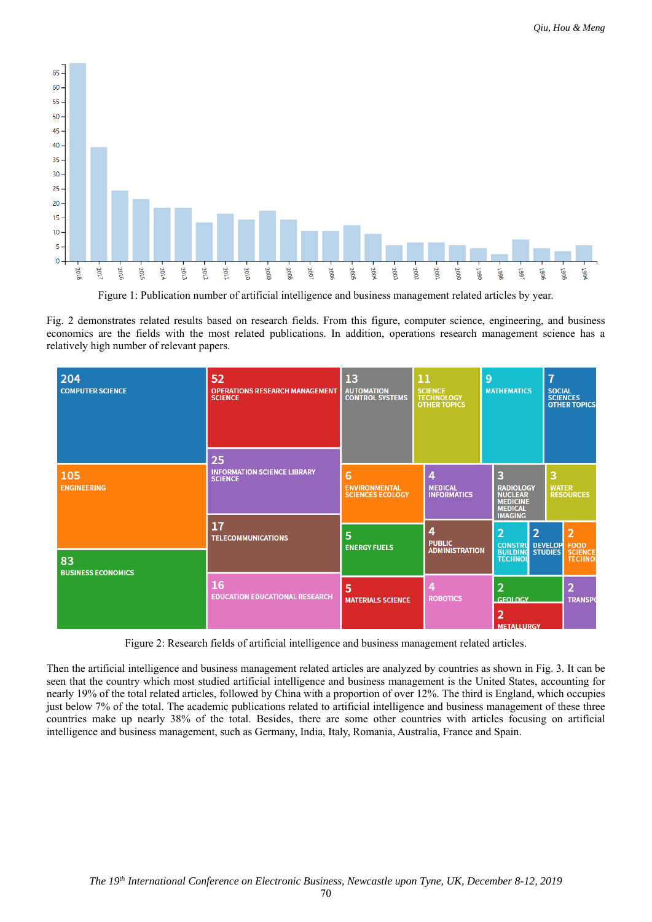

Figure 1: Publication number of artificial intelligence and business management related articles by year.

Fig. 2 demonstrates related results based on research fields. From this figure, computer science, engineering, and business economics are the fields with the most related publications. In addition, operations research management science has a relatively high number of relevant papers.

| 204<br><b>COMPUTER SCIENCE</b>  | 52<br><b>OPERATIONS RESEARCH MANAGEMENT</b><br><b>SCIENCE</b><br>25 | 13<br><b>AUTOMATION</b><br><b>CONTROL SYSTEMS</b>    | 11<br><b>SCIENCE</b><br><b>TECHNOLOGY</b><br><b>OTHER TOPICS</b>                                                                          | 9<br><b>MATHEMATICS</b>                                                                        | 7 | <b>SOCIAL</b><br><b>SCIENCES</b><br><b>OTHER TOPICS</b> |  |  |
|---------------------------------|---------------------------------------------------------------------|------------------------------------------------------|-------------------------------------------------------------------------------------------------------------------------------------------|------------------------------------------------------------------------------------------------|---|---------------------------------------------------------|--|--|
| 105<br><b>ENGINEERING</b>       | <b>INFORMATION SCIENCE LIBRARY</b><br><b>SCIENCE</b>                | 6<br><b>ENVIRONMENTAL</b><br><b>SCIENCES ECOLOGY</b> | <b>MEDICAL</b><br><b>INFORMATICS</b>                                                                                                      | 3<br><b>RADIOLOGY</b><br><b>NUCLEAR</b><br><b>MEDICINE</b><br><b>MEDICAL</b><br><b>IMAGING</b> | 3 | <b>WATER</b><br><b>RESOURCES</b>                        |  |  |
| 83<br><b>BUSINESS ECONOMICS</b> | 17<br><b>TELECOMMUNICATIONS</b>                                     | 5<br><b>ENERGY FUELS</b>                             | 4<br>$\overline{2}$<br>2<br><b>PUBLIC</b><br><b>CONSTRU DEVELOP</b><br><b>ADMINISTRATION</b><br><b>BUILDING STUDIES</b><br><b>TECHNOL</b> |                                                                                                |   |                                                         |  |  |
|                                 | 16<br><b>EDUCATION EDUCATIONAL RESEARCH</b>                         | 5<br><b>MATERIALS SCIENCE</b>                        | <b>ROBOTICS</b>                                                                                                                           | $\overline{2}$<br><b>GEOLOGY</b><br>2<br><b>METALLURGY</b>                                     |   | $\overline{\mathbf{2}}$<br><b>TRANSPO</b>               |  |  |

Figure 2: Research fields of artificial intelligence and business management related articles.

Then the artificial intelligence and business management related articles are analyzed by countries as shown in Fig. 3. It can be seen that the country which most studied artificial intelligence and business management is the United States, accounting for nearly 19% of the total related articles, followed by China with a proportion of over 12%. The third is England, which occupies just below 7% of the total. The academic publications related to artificial intelligence and business management of these three countries make up nearly 38% of the total. Besides, there are some other countries with articles focusing on artificial intelligence and business management, such as Germany, India, Italy, Romania, Australia, France and Spain.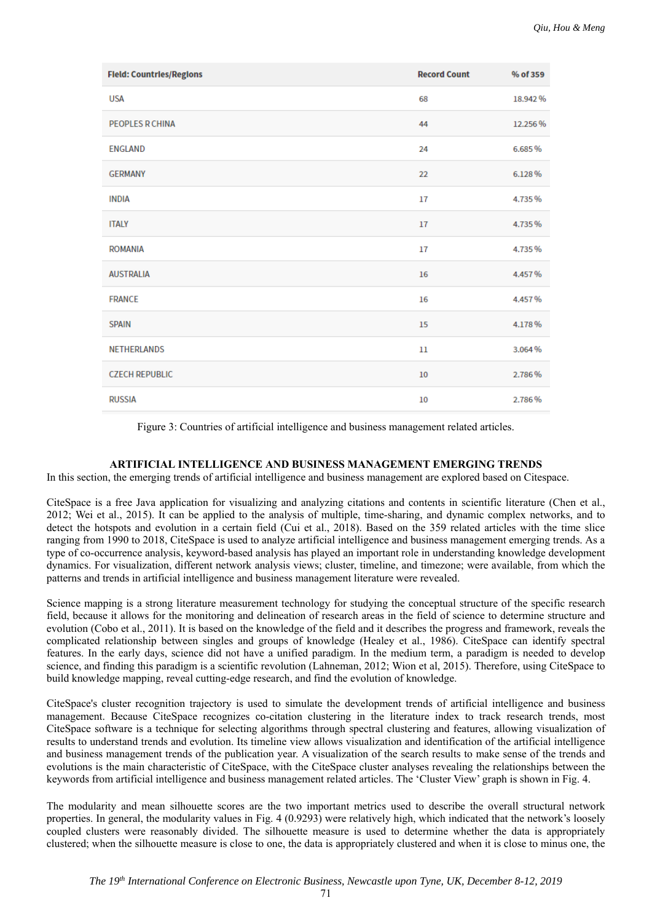| <b>Field: Countries/Regions</b> | <b>Record Count</b> | % of 359 |
|---------------------------------|---------------------|----------|
| <b>USA</b>                      | 68                  | 18.942%  |
| <b>PEOPLES R CHINA</b>          | 44                  | 12.256 % |
| <b>ENGLAND</b>                  | 24                  | 6.685%   |
| <b>GERMANY</b>                  | 22                  | 6.128%   |
| <b>INDIA</b>                    | 17                  | 4.735%   |
| <b>ITALY</b>                    | 17                  | 4.735%   |
| <b>ROMANIA</b>                  | 17                  | 4.735%   |
| <b>AUSTRALIA</b>                | 16                  | 4.457%   |
| <b>FRANCE</b>                   | 16                  | 4.457%   |
| <b>SPAIN</b>                    | 15                  | 4.178%   |
| <b>NETHERLANDS</b>              | $_{11}$             | 3.064%   |
| <b>CZECH REPUBLIC</b>           | 10                  | 2.786%   |
| <b>RUSSIA</b>                   | 10                  | 2.786%   |

Figure 3: Countries of artificial intelligence and business management related articles.

## **ARTIFICIAL INTELLIGENCE AND BUSINESS MANAGEMENT EMERGING TRENDS**

In this section, the emerging trends of artificial intelligence and business management are explored based on Citespace.

CiteSpace is a free Java application for visualizing and analyzing citations and contents in scientific literature (Chen et al., 2012; Wei et al., 2015). It can be applied to the analysis of multiple, time-sharing, and dynamic complex networks, and to detect the hotspots and evolution in a certain field (Cui et al., 2018). Based on the 359 related articles with the time slice ranging from 1990 to 2018, CiteSpace is used to analyze artificial intelligence and business management emerging trends. As a type of co-occurrence analysis, keyword-based analysis has played an important role in understanding knowledge development dynamics. For visualization, different network analysis views; cluster, timeline, and timezone; were available, from which the patterns and trends in artificial intelligence and business management literature were revealed.

Science mapping is a strong literature measurement technology for studying the conceptual structure of the specific research field, because it allows for the monitoring and delineation of research areas in the field of science to determine structure and evolution (Cobo et al., 2011). It is based on the knowledge of the field and it describes the progress and framework, reveals the complicated relationship between singles and groups of knowledge (Healey et al., 1986). CiteSpace can identify spectral features. In the early days, science did not have a unified paradigm. In the medium term, a paradigm is needed to develop science, and finding this paradigm is a scientific revolution (Lahneman, 2012; Wion et al, 2015). Therefore, using CiteSpace to build knowledge mapping, reveal cutting-edge research, and find the evolution of knowledge.

CiteSpace's cluster recognition trajectory is used to simulate the development trends of artificial intelligence and business management. Because CiteSpace recognizes co-citation clustering in the literature index to track research trends, most CiteSpace software is a technique for selecting algorithms through spectral clustering and features, allowing visualization of results to understand trends and evolution. Its timeline view allows visualization and identification of the artificial intelligence and business management trends of the publication year. A visualization of the search results to make sense of the trends and evolutions is the main characteristic of CiteSpace, with the CiteSpace cluster analyses revealing the relationships between the keywords from artificial intelligence and business management related articles. The 'Cluster View' graph is shown in Fig. 4.

The modularity and mean silhouette scores are the two important metrics used to describe the overall structural network properties. In general, the modularity values in Fig. 4 (0.9293) were relatively high, which indicated that the network's loosely coupled clusters were reasonably divided. The silhouette measure is used to determine whether the data is appropriately clustered; when the silhouette measure is close to one, the data is appropriately clustered and when it is close to minus one, the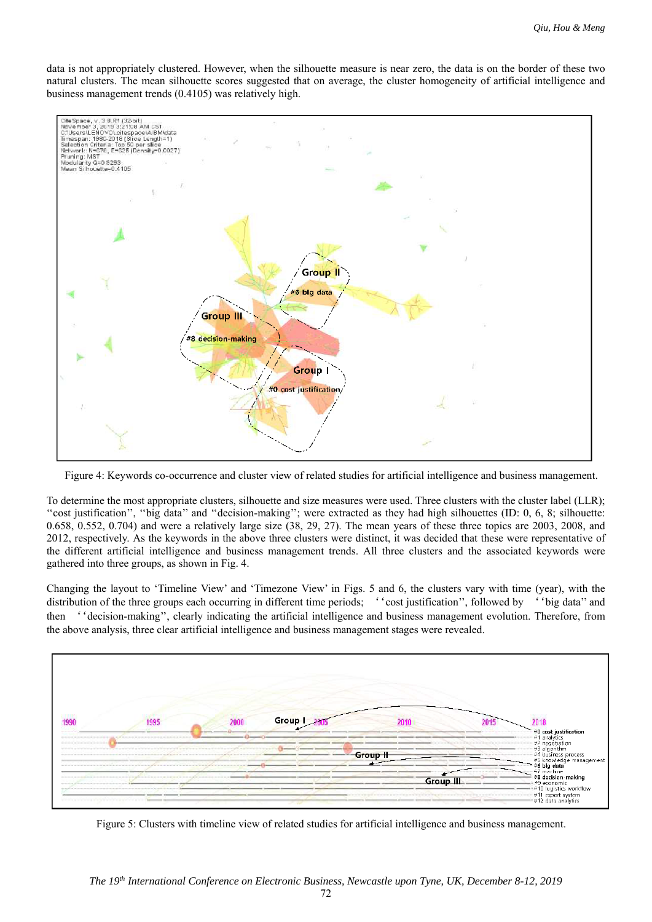data is not appropriately clustered. However, when the silhouette measure is near zero, the data is on the border of these two natural clusters. The mean silhouette scores suggested that on average, the cluster homogeneity of artificial intelligence and business management trends (0.4105) was relatively high.



Figure 4: Keywords co-occurrence and cluster view of related studies for artificial intelligence and business management.

To determine the most appropriate clusters, silhouette and size measures were used. Three clusters with the cluster label (LLR); ''cost justification'', ''big data'' and ''decision-making''; were extracted as they had high silhouettes (ID: 0, 6, 8; silhouette: 0.658, 0.552, 0.704) and were a relatively large size (38, 29, 27). The mean years of these three topics are 2003, 2008, and 2012, respectively. As the keywords in the above three clusters were distinct, it was decided that these were representative of the different artificial intelligence and business management trends. All three clusters and the associated keywords were gathered into three groups, as shown in Fig. 4.

Changing the layout to 'Timeline View' and 'Timezone View' in Figs. 5 and 6, the clusters vary with time (year), with the distribution of the three groups each occurring in different time periods; ''cost justification'', followed by ''big data'' and then ''decision-making'', clearly indicating the artificial intelligence and business management evolution. Therefore, from the above analysis, three clear artificial intelligence and business management stages were revealed.



Figure 5: Clusters with timeline view of related studies for artificial intelligence and business management.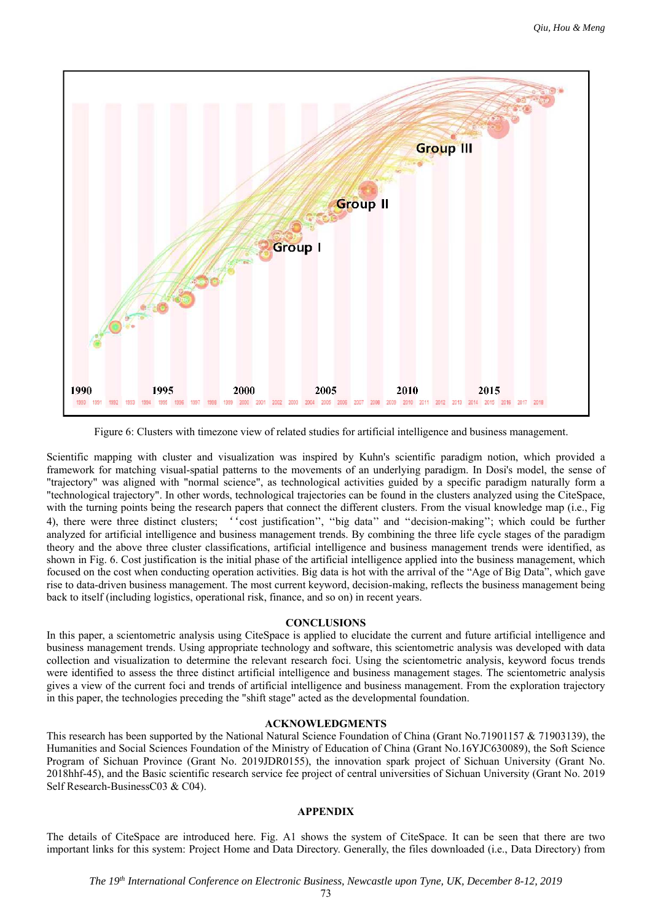

Figure 6: Clusters with timezone view of related studies for artificial intelligence and business management.

Scientific mapping with cluster and visualization was inspired by Kuhn's scientific paradigm notion, which provided a framework for matching visual-spatial patterns to the movements of an underlying paradigm. In Dosi's model, the sense of "trajectory" was aligned with "normal science", as technological activities guided by a specific paradigm naturally form a "technological trajectory". In other words, technological trajectories can be found in the clusters analyzed using the CiteSpace, with the turning points being the research papers that connect the different clusters. From the visual knowledge map (i.e., Fig 4), there were three distinct clusters; ''cost justification'', ''big data'' and ''decision-making''; which could be further analyzed for artificial intelligence and business management trends. By combining the three life cycle stages of the paradigm theory and the above three cluster classifications, artificial intelligence and business management trends were identified, as shown in Fig. 6. Cost justification is the initial phase of the artificial intelligence applied into the business management, which focused on the cost when conducting operation activities. Big data is hot with the arrival of the "Age of Big Data", which gave rise to data-driven business management. The most current keyword, decision-making, reflects the business management being back to itself (including logistics, operational risk, finance, and so on) in recent years.

### **CONCLUSIONS**

In this paper, a scientometric analysis using CiteSpace is applied to elucidate the current and future artificial intelligence and business management trends. Using appropriate technology and software, this scientometric analysis was developed with data collection and visualization to determine the relevant research foci. Using the scientometric analysis, keyword focus trends were identified to assess the three distinct artificial intelligence and business management stages. The scientometric analysis gives a view of the current foci and trends of artificial intelligence and business management. From the exploration trajectory in this paper, the technologies preceding the "shift stage" acted as the developmental foundation.

## **ACKNOWLEDGMENTS**

This research has been supported by the National Natural Science Foundation of China (Grant No.71901157 & 71903139), the Humanities and Social Sciences Foundation of the Ministry of Education of China (Grant No.16YJC630089), the Soft Science Program of Sichuan Province (Grant No. 2019JDR0155), the innovation spark project of Sichuan University (Grant No. 2018hhf-45), and the Basic scientific research service fee project of central universities of Sichuan University (Grant No. 2019 Self Research-BusinessC03 & C04).

### **APPENDIX**

The details of CiteSpace are introduced here. Fig. A1 shows the system of CiteSpace. It can be seen that there are two important links for this system: Project Home and Data Directory. Generally, the files downloaded (i.e., Data Directory) from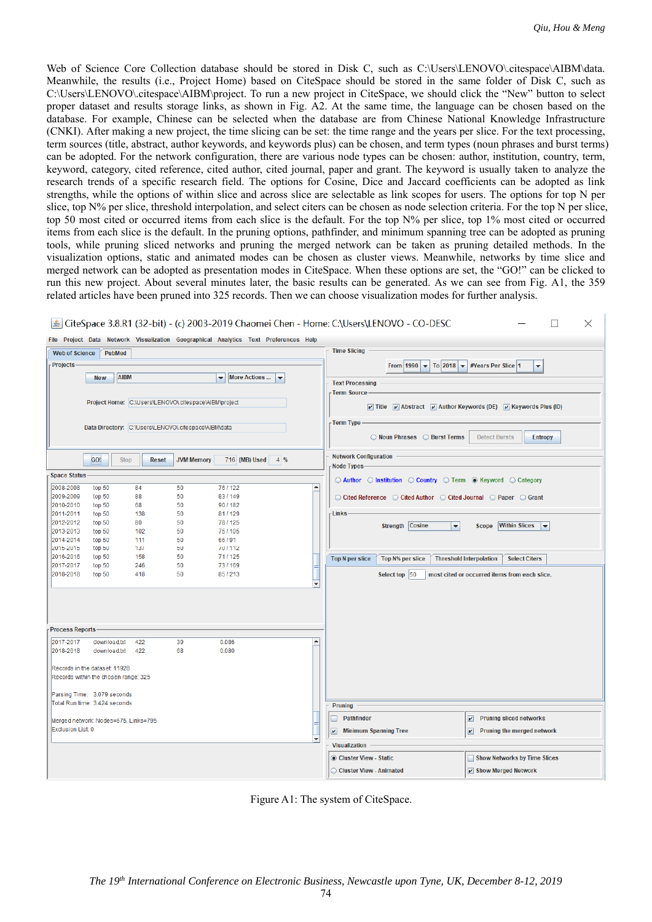$\Box$ 

Web of Science Core Collection database should be stored in Disk C, such as C:\Users\LENOVO\.citespace\AIBM\data. Meanwhile, the results (i.e., Project Home) based on CiteSpace should be stored in the same folder of Disk C, such as C:\Users\LENOVO\.citespace\AIBM\project. To run a new project in CiteSpace, we should click the "New" button to select proper dataset and results storage links, as shown in Fig. A2. At the same time, the language can be chosen based on the database. For example, Chinese can be selected when the database are from Chinese National Knowledge Infrastructure (CNKI). After making a new project, the time slicing can be set: the time range and the years per slice. For the text processing, term sources (title, abstract, author keywords, and keywords plus) can be chosen, and term types (noun phrases and burst terms) can be adopted. For the network configuration, there are various node types can be chosen: author, institution, country, term, keyword, category, cited reference, cited author, cited journal, paper and grant. The keyword is usually taken to analyze the research trends of a specific research field. The options for Cosine, Dice and Jaccard coefficients can be adopted as link strengths, while the options of within slice and across slice are selectable as link scopes for users. The options for top N per slice, top N% per slice, threshold interpolation, and select citers can be chosen as node selection criteria. For the top N per slice, top 50 most cited or occurred items from each slice is the default. For the top  $N\%$  per slice, top 1% most cited or occurred items from each slice is the default. In the pruning options, pathfinder, and minimum spanning tree can be adopted as pruning tools, while pruning sliced networks and pruning the merged network can be taken as pruning detailed methods. In the visualization options, static and animated modes can be chosen as cluster views. Meanwhile, networks by time slice and merged network can be adopted as presentation modes in CiteSpace. When these options are set, the "GO!" can be clicked to run this new project. About several minutes later, the basic results can be generated. As we can see from Fig. A1, the 359 related articles have been pruned into 325 records. Then we can choose visualization modes for further analysis.

| CiteSpace 3.8.R1 (32-bit) - (c) 2003-2019 Chaomei Chen - Home: C:\Users\LENOVO - CO-DESC<br>$\Box$<br>$\times$ |                  |                                                       |                   |                                                                                      |                                                                                                     |                                                                                                                                                            |  |  |  |  |  |  |  |  |
|----------------------------------------------------------------------------------------------------------------|------------------|-------------------------------------------------------|-------------------|--------------------------------------------------------------------------------------|-----------------------------------------------------------------------------------------------------|------------------------------------------------------------------------------------------------------------------------------------------------------------|--|--|--|--|--|--|--|--|
|                                                                                                                |                  |                                                       |                   | File Project Data Network Visualization Geographical Analytics Text Preferences Help |                                                                                                     |                                                                                                                                                            |  |  |  |  |  |  |  |  |
| <b>Web of Science</b>                                                                                          |                  | <b>PubMed</b>                                         |                   |                                                                                      |                                                                                                     | <b>Time Slicing</b>                                                                                                                                        |  |  |  |  |  |  |  |  |
| Projects-                                                                                                      |                  |                                                       |                   |                                                                                      |                                                                                                     | From 1990 $\blacktriangledown$ To 2018 $\blacktriangledown$<br>#Years Per Slice 1                                                                          |  |  |  |  |  |  |  |  |
|                                                                                                                |                  |                                                       |                   |                                                                                      |                                                                                                     | ▼                                                                                                                                                          |  |  |  |  |  |  |  |  |
|                                                                                                                | <b>New</b>       | <b>AIBM</b>                                           |                   | <b>More Actions</b><br>▼<br>$\blacktriangledown$                                     |                                                                                                     | <b>Text Processing</b>                                                                                                                                     |  |  |  |  |  |  |  |  |
|                                                                                                                |                  |                                                       |                   |                                                                                      |                                                                                                     | - Term Source                                                                                                                                              |  |  |  |  |  |  |  |  |
|                                                                                                                |                  | Project Home: C:\Users\LENOVO\.citespace\AlBM\project |                   |                                                                                      |                                                                                                     |                                                                                                                                                            |  |  |  |  |  |  |  |  |
|                                                                                                                |                  |                                                       |                   |                                                                                      |                                                                                                     | $\triangledown$ Title $\triangledown$ Abstract $\triangledown$ Author Keywords (DE) $\triangledown$ Keywords Plus (ID)                                     |  |  |  |  |  |  |  |  |
|                                                                                                                |                  |                                                       |                   |                                                                                      |                                                                                                     | - Term Type                                                                                                                                                |  |  |  |  |  |  |  |  |
| Data Directory: C:\Users\LENOVO\.citespace\AlBM\data                                                           |                  |                                                       |                   |                                                                                      | Noun Phrases C Burst Terms<br><b>Detect Bursts</b><br><b>Entropy</b>                                |                                                                                                                                                            |  |  |  |  |  |  |  |  |
|                                                                                                                | GO!              | <b>Stop</b><br><b>Reset</b>                           | <b>JVM Memory</b> | 716 (MB) Used<br>$4\frac{9}{6}$                                                      |                                                                                                     | <b>Network Configuration</b>                                                                                                                               |  |  |  |  |  |  |  |  |
|                                                                                                                |                  |                                                       |                   |                                                                                      |                                                                                                     | Node Types-                                                                                                                                                |  |  |  |  |  |  |  |  |
| <b>Space Status</b>                                                                                            |                  |                                                       |                   |                                                                                      |                                                                                                     | $\odot$ Author $\odot$ Institution $\odot$ Country $\odot$ Term $\odot$ Keyword $\odot$ Category                                                           |  |  |  |  |  |  |  |  |
| 2008-2008                                                                                                      | top 50           | 84                                                    | 50                | 76/122                                                                               | $\blacktriangle$                                                                                    |                                                                                                                                                            |  |  |  |  |  |  |  |  |
| 2009-2009                                                                                                      | top 50           | 88                                                    | 50                | 83/149                                                                               |                                                                                                     | $\circlearrowright$ Cited Reference $\circlearrowright$ Cited Author $\circlearrowright$ Cited Journal $\circlearrowright$ Paper $\circlearrowright$ Grant |  |  |  |  |  |  |  |  |
| 2010-2010                                                                                                      | top 50           | 68                                                    | 50                | 90/182                                                                               |                                                                                                     |                                                                                                                                                            |  |  |  |  |  |  |  |  |
| 2011-2011<br>2012-2012                                                                                         | top 50<br>top 50 | 138<br>80                                             | 50<br>50          | 81/129<br>78/125                                                                     |                                                                                                     | -Links                                                                                                                                                     |  |  |  |  |  |  |  |  |
| 2013-2013                                                                                                      | top 50           | 102                                                   | 50                | 75/105                                                                               |                                                                                                     | <b>Strength Cosine</b><br><b>Within Slices</b><br>$\blacktriangledown$<br><b>Scope</b><br>$\blacktriangledown$                                             |  |  |  |  |  |  |  |  |
| 2014-2014                                                                                                      | top 50           | 111                                                   | 50                | 66/91                                                                                |                                                                                                     |                                                                                                                                                            |  |  |  |  |  |  |  |  |
| 2015-2015                                                                                                      | top 50           | 137                                                   | 50                | 70/112                                                                               |                                                                                                     |                                                                                                                                                            |  |  |  |  |  |  |  |  |
| 2016-2016                                                                                                      | top 50           | 158                                                   | 50                | 71/125                                                                               |                                                                                                     | <b>Top N per slice</b><br><b>Top N% per slice</b><br><b>Threshold Interpolation</b><br><b>Select Citers</b>                                                |  |  |  |  |  |  |  |  |
| 2017-2017                                                                                                      | top 50           | 246                                                   | 50                | 73/169                                                                               |                                                                                                     |                                                                                                                                                            |  |  |  |  |  |  |  |  |
| 2018-2018                                                                                                      | top 50           | 418                                                   | 50                | 85/213                                                                               | Select top 50<br>most cited or occurred items from each slice.<br>$\overline{\phantom{0}}$          |                                                                                                                                                            |  |  |  |  |  |  |  |  |
| <b>Process Reports</b>                                                                                         |                  |                                                       |                   |                                                                                      |                                                                                                     |                                                                                                                                                            |  |  |  |  |  |  |  |  |
| 2017-2017                                                                                                      | download.txt     | 422                                                   | 39                | 0.086                                                                                | ۸                                                                                                   |                                                                                                                                                            |  |  |  |  |  |  |  |  |
| 2018-2018                                                                                                      | download.txt     | 422                                                   | 68                | 0.080                                                                                |                                                                                                     |                                                                                                                                                            |  |  |  |  |  |  |  |  |
| Records in the dataset: 11928<br>Parsing Time: 3.079 seconds                                                   |                  | Records within the chosen range: 325                  |                   |                                                                                      |                                                                                                     |                                                                                                                                                            |  |  |  |  |  |  |  |  |
| Total Run time: 3.424 seconds                                                                                  |                  |                                                       |                   |                                                                                      |                                                                                                     | Pruning                                                                                                                                                    |  |  |  |  |  |  |  |  |
|                                                                                                                |                  |                                                       |                   |                                                                                      |                                                                                                     |                                                                                                                                                            |  |  |  |  |  |  |  |  |
| Merged network: Nodes=675, Links=795                                                                           |                  |                                                       |                   | <b>Pathfinder</b><br>$\overline{\mathbf{r}}$<br><b>Pruning sliced networks</b><br>П  |                                                                                                     |                                                                                                                                                            |  |  |  |  |  |  |  |  |
| Exclusion List 0<br>٠                                                                                          |                  |                                                       |                   |                                                                                      | <b>Minimum Spanning Tree</b><br>$\sqrt{ }$<br>$\overline{\mathbf{r}}$<br>Pruning the merged network |                                                                                                                                                            |  |  |  |  |  |  |  |  |
|                                                                                                                |                  |                                                       |                   |                                                                                      |                                                                                                     | <b>Visualization</b>                                                                                                                                       |  |  |  |  |  |  |  |  |
|                                                                                                                |                  |                                                       |                   |                                                                                      |                                                                                                     | Cluster View - Static<br>Show Networks by Time Slices                                                                                                      |  |  |  |  |  |  |  |  |
|                                                                                                                |                  |                                                       |                   |                                                                                      |                                                                                                     | Cluster View - Animated<br>V Show Merged Network                                                                                                           |  |  |  |  |  |  |  |  |

Figure A1: The system of CiteSpace.

74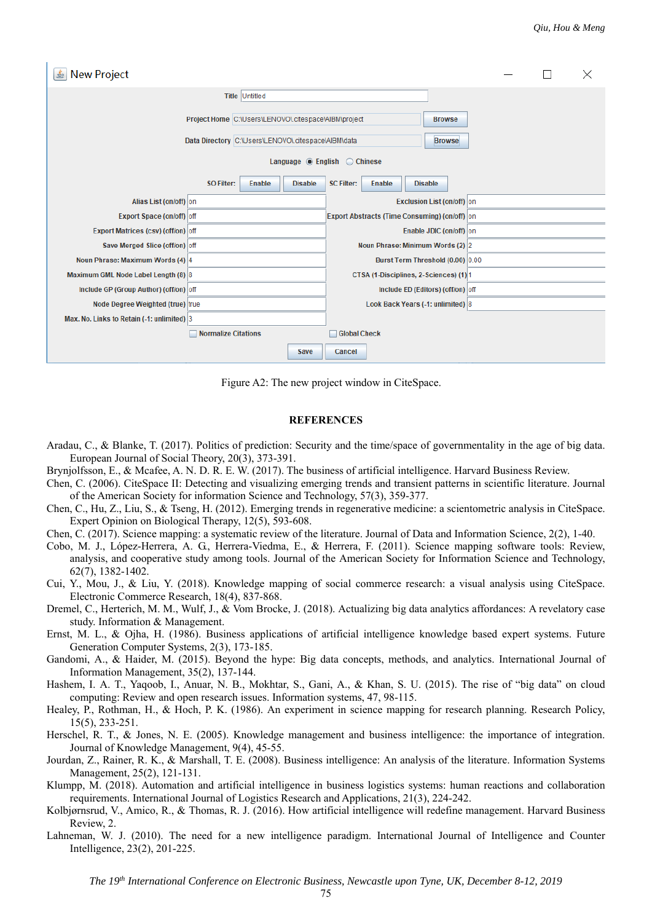| New Project<br>亳                                                                                            |                                     |                                   |                                               |                                   |                                  |                                        |                                |  |  |  |  | × |
|-------------------------------------------------------------------------------------------------------------|-------------------------------------|-----------------------------------|-----------------------------------------------|-----------------------------------|----------------------------------|----------------------------------------|--------------------------------|--|--|--|--|---|
|                                                                                                             |                                     |                                   |                                               |                                   |                                  |                                        |                                |  |  |  |  |   |
| Project Home C:\Users\LENOVO\.citespace\AlBM\project<br>Data Directory C:\Users\LENOVO\.citespace\AlBM\data |                                     |                                   |                                               |                                   |                                  |                                        | <b>Browse</b><br><b>Browse</b> |  |  |  |  |   |
| Language $\circledcirc$ English $\circledcirc$ Chinese                                                      |                                     |                                   |                                               |                                   |                                  |                                        |                                |  |  |  |  |   |
|                                                                                                             | <b>SO Filter:</b>                   | <b>Enable</b>                     | <b>Disable</b>                                | <b>SC Filter:</b>                 | <b>Enable</b>                    | <b>Disable</b>                         |                                |  |  |  |  |   |
| Alias List (on/off) on                                                                                      |                                     |                                   |                                               | <b>Exclusion List (on/off)</b> on |                                  |                                        |                                |  |  |  |  |   |
| Export Space (on/off) off                                                                                   |                                     |                                   | Export Abstracts (Time Consuming) (on/off) on |                                   |                                  |                                        |                                |  |  |  |  |   |
| <b>Export Matrices (csv) (off/on) off</b>                                                                   |                                     |                                   | Enable JDIC (on/off) on                       |                                   |                                  |                                        |                                |  |  |  |  |   |
| Save Merged Slice (off/on) off                                                                              |                                     |                                   |                                               |                                   | Noun Phrase: Minimum Words (2) 2 |                                        |                                |  |  |  |  |   |
| Noun Phrase: Maximum Words (4) 4                                                                            |                                     | Burst Term Threshold (0.00) 0.00  |                                               |                                   |                                  |                                        |                                |  |  |  |  |   |
|                                                                                                             | Maximum GML Node Label Length (8) 8 |                                   |                                               |                                   |                                  | CTSA (1-Disciplines, 2-Sciences) (1) 1 |                                |  |  |  |  |   |
| Include GP (Group Author) (off/on) off                                                                      |                                     | Include ED (Editors) (off/on) off |                                               |                                   |                                  |                                        |                                |  |  |  |  |   |
| Node Degree Weighted (true) true                                                                            |                                     |                                   | Look Back Years (-1: unlimited) 8             |                                   |                                  |                                        |                                |  |  |  |  |   |
| Max. No. Links to Retain (-1: unlimited) 3                                                                  |                                     |                                   |                                               |                                   |                                  |                                        |                                |  |  |  |  |   |
|                                                                                                             | <b>Normalize Citations</b>          |                                   |                                               | <b>Global Check</b>               |                                  |                                        |                                |  |  |  |  |   |
|                                                                                                             |                                     |                                   | <b>Save</b>                                   | Cancel                            |                                  |                                        |                                |  |  |  |  |   |

Figure A2: The new project window in CiteSpace.

#### **REFERENCES**

- Aradau, C., & Blanke, T. (2017). Politics of prediction: Security and the time/space of governmentality in the age of big data. European Journal of Social Theory, 20(3), 373-391.
- Brynjolfsson, E., & Mcafee, A. N. D. R. E. W. (2017). The business of artificial intelligence. Harvard Business Review.
- Chen, C. (2006). CiteSpace II: Detecting and visualizing emerging trends and transient patterns in scientific literature. Journal of the American Society for information Science and Technology, 57(3), 359-377.
- Chen, C., Hu, Z., Liu, S., & Tseng, H. (2012). Emerging trends in regenerative medicine: a scientometric analysis in CiteSpace. Expert Opinion on Biological Therapy, 12(5), 593-608.
- Chen, C. (2017). Science mapping: a systematic review of the literature. Journal of Data and Information Science, 2(2), 1-40.
- Cobo, M. J., López-Herrera, A. G., Herrera-Viedma, E., & Herrera, F. (2011). Science mapping software tools: Review, analysis, and cooperative study among tools. Journal of the American Society for Information Science and Technology, 62(7), 1382-1402.
- Cui, Y., Mou, J., & Liu, Y. (2018). Knowledge mapping of social commerce research: a visual analysis using CiteSpace. Electronic Commerce Research, 18(4), 837-868.
- Dremel, C., Herterich, M. M., Wulf, J., & Vom Brocke, J. (2018). Actualizing big data analytics affordances: A revelatory case study. Information & Management.
- Ernst, M. L., & Ojha, H. (1986). Business applications of artificial intelligence knowledge based expert systems. Future Generation Computer Systems, 2(3), 173-185.
- Gandomi, A., & Haider, M. (2015). Beyond the hype: Big data concepts, methods, and analytics. International Journal of Information Management, 35(2), 137-144.
- Hashem, I. A. T., Yaqoob, I., Anuar, N. B., Mokhtar, S., Gani, A., & Khan, S. U. (2015). The rise of "big data" on cloud computing: Review and open research issues. Information systems, 47, 98-115.
- Healey, P., Rothman, H., & Hoch, P. K. (1986). An experiment in science mapping for research planning. Research Policy, 15(5), 233-251.
- Herschel, R. T., & Jones, N. E. (2005). Knowledge management and business intelligence: the importance of integration. Journal of Knowledge Management, 9(4), 45-55.
- Jourdan, Z., Rainer, R. K., & Marshall, T. E. (2008). Business intelligence: An analysis of the literature. Information Systems Management, 25(2), 121-131.
- Klumpp, M. (2018). Automation and artificial intelligence in business logistics systems: human reactions and collaboration requirements. International Journal of Logistics Research and Applications, 21(3), 224-242.
- Kolbjørnsrud, V., Amico, R., & Thomas, R. J. (2016). How artificial intelligence will redefine management. Harvard Business Review, 2.
- Lahneman, W. J. (2010). The need for a new intelligence paradigm. International Journal of Intelligence and Counter Intelligence, 23(2), 201-225.